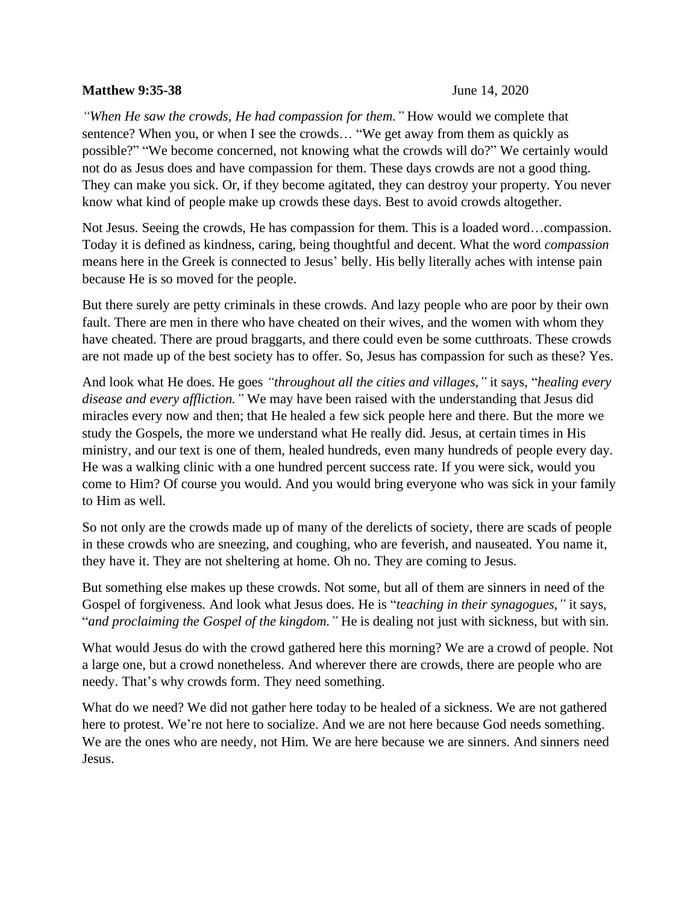## **Matthew 9:35-38** June 14, 2020

*"When He saw the crowds, He had compassion for them."* How would we complete that sentence? When you, or when I see the crowds… "We get away from them as quickly as possible?" "We become concerned, not knowing what the crowds will do?" We certainly would not do as Jesus does and have compassion for them. These days crowds are not a good thing. They can make you sick. Or, if they become agitated, they can destroy your property. You never know what kind of people make up crowds these days. Best to avoid crowds altogether.

Not Jesus. Seeing the crowds, He has compassion for them. This is a loaded word…compassion. Today it is defined as kindness, caring, being thoughtful and decent. What the word *compassion* means here in the Greek is connected to Jesus' belly. His belly literally aches with intense pain because He is so moved for the people.

But there surely are petty criminals in these crowds. And lazy people who are poor by their own fault. There are men in there who have cheated on their wives, and the women with whom they have cheated. There are proud braggarts, and there could even be some cutthroats. These crowds are not made up of the best society has to offer. So, Jesus has compassion for such as these? Yes.

And look what He does. He goes *"throughout all the cities and villages,"* it says, "*healing every disease and every affliction."* We may have been raised with the understanding that Jesus did miracles every now and then; that He healed a few sick people here and there. But the more we study the Gospels, the more we understand what He really did. Jesus, at certain times in His ministry, and our text is one of them, healed hundreds, even many hundreds of people every day. He was a walking clinic with a one hundred percent success rate. If you were sick, would you come to Him? Of course you would. And you would bring everyone who was sick in your family to Him as well.

So not only are the crowds made up of many of the derelicts of society, there are scads of people in these crowds who are sneezing, and coughing, who are feverish, and nauseated. You name it, they have it. They are not sheltering at home. Oh no. They are coming to Jesus.

But something else makes up these crowds. Not some, but all of them are sinners in need of the Gospel of forgiveness. And look what Jesus does. He is "*teaching in their synagogues,"* it says, "*and proclaiming the Gospel of the kingdom."* He is dealing not just with sickness, but with sin.

What would Jesus do with the crowd gathered here this morning? We are a crowd of people. Not a large one, but a crowd nonetheless. And wherever there are crowds, there are people who are needy. That's why crowds form. They need something.

What do we need? We did not gather here today to be healed of a sickness. We are not gathered here to protest. We're not here to socialize. And we are not here because God needs something. We are the ones who are needy, not Him. We are here because we are sinners. And sinners need Jesus.